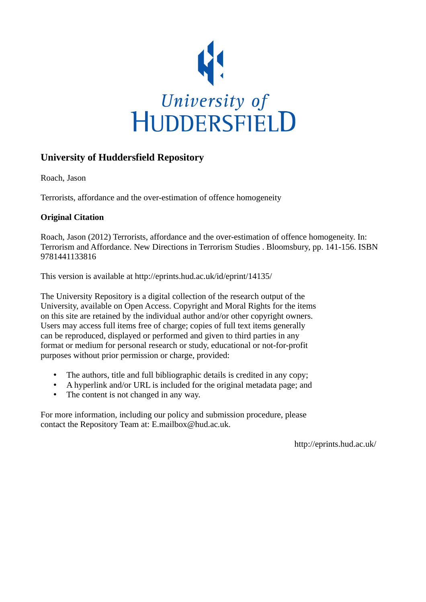

# **University of Huddersfield Repository**

Roach, Jason

Terrorists, affordance and the over-estimation of offence homogeneity

# **Original Citation**

Roach, Jason (2012) Terrorists, affordance and the over-estimation of offence homogeneity. In: Terrorism and Affordance. New Directions in Terrorism Studies . Bloomsbury, pp. 141-156. ISBN 9781441133816

This version is available at http://eprints.hud.ac.uk/id/eprint/14135/

The University Repository is a digital collection of the research output of the University, available on Open Access. Copyright and Moral Rights for the items on this site are retained by the individual author and/or other copyright owners. Users may access full items free of charge; copies of full text items generally can be reproduced, displayed or performed and given to third parties in any format or medium for personal research or study, educational or not-for-profit purposes without prior permission or charge, provided:

- The authors, title and full bibliographic details is credited in any copy;
- A hyperlink and/or URL is included for the original metadata page; and
- The content is not changed in any way.

For more information, including our policy and submission procedure, please contact the Repository Team at: E.mailbox@hud.ac.uk.

http://eprints.hud.ac.uk/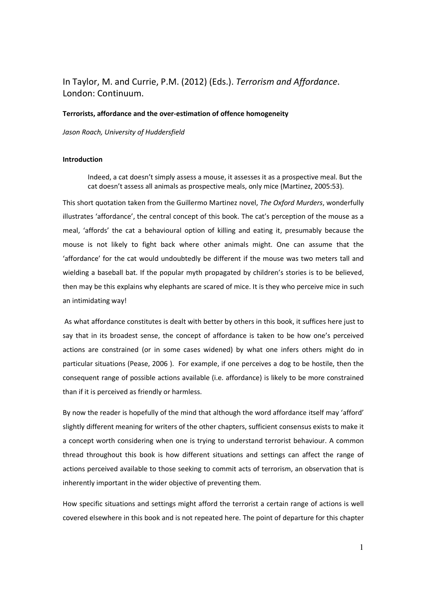# In Taylor, M. and Currie, P.M. (2012) (Eds.). Terrorism and Affordance. London: Continuum.

### Terrorists, affordance and the over-estimation of offence homogeneity

Jason Roach, University of Huddersfield

#### Introduction

Indeed, a cat doesn't simply assess a mouse, it assesses it as a prospective meal. But the cat doesn't assess all animals as prospective meals, only mice (Martinez, 2005:53).

This short quotation taken from the Guillermo Martinez novel, The Oxford Murders, wonderfully illustrates 'affordance', the central concept of this book. The cat's perception of the mouse as a meal, 'affords' the cat a behavioural option of killing and eating it, presumably because the mouse is not likely to fight back where other animals might. One can assume that the 'affordance' for the cat would undoubtedly be different if the mouse was two meters tall and wielding a baseball bat. If the popular myth propagated by children's stories is to be believed, then may be this explains why elephants are scared of mice. It is they who perceive mice in such an intimidating way!

 As what affordance constitutes is dealt with better by others in this book, it suffices here just to say that in its broadest sense, the concept of affordance is taken to be how one's perceived actions are constrained (or in some cases widened) by what one infers others might do in particular situations (Pease, 2006 ). For example, if one perceives a dog to be hostile, then the consequent range of possible actions available (i.e. affordance) is likely to be more constrained than if it is perceived as friendly or harmless.

By now the reader is hopefully of the mind that although the word affordance itself may 'afford' slightly different meaning for writers of the other chapters, sufficient consensus exists to make it a concept worth considering when one is trying to understand terrorist behaviour. A common thread throughout this book is how different situations and settings can affect the range of actions perceived available to those seeking to commit acts of terrorism, an observation that is inherently important in the wider objective of preventing them.

How specific situations and settings might afford the terrorist a certain range of actions is well covered elsewhere in this book and is not repeated here. The point of departure for this chapter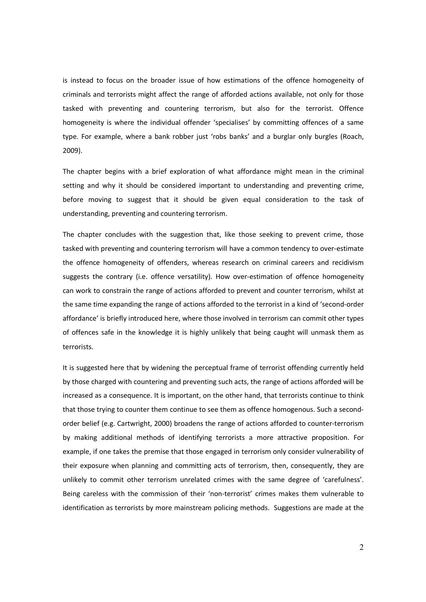is instead to focus on the broader issue of how estimations of the offence homogeneity of criminals and terrorists might affect the range of afforded actions available, not only for those tasked with preventing and countering terrorism, but also for the terrorist. Offence homogeneity is where the individual offender 'specialises' by committing offences of a same type. For example, where a bank robber just 'robs banks' and a burglar only burgles (Roach, 2009).

The chapter begins with a brief exploration of what affordance might mean in the criminal setting and why it should be considered important to understanding and preventing crime, before moving to suggest that it should be given equal consideration to the task of understanding, preventing and countering terrorism.

The chapter concludes with the suggestion that, like those seeking to prevent crime, those tasked with preventing and countering terrorism will have a common tendency to over-estimate the offence homogeneity of offenders, whereas research on criminal careers and recidivism suggests the contrary (i.e. offence versatility). How over-estimation of offence homogeneity can work to constrain the range of actions afforded to prevent and counter terrorism, whilst at the same time expanding the range of actions afforded to the terrorist in a kind of 'second-order affordance' is briefly introduced here, where those involved in terrorism can commit other types of offences safe in the knowledge it is highly unlikely that being caught will unmask them as terrorists.

It is suggested here that by widening the perceptual frame of terrorist offending currently held by those charged with countering and preventing such acts, the range of actions afforded will be increased as a consequence. It is important, on the other hand, that terrorists continue to think that those trying to counter them continue to see them as offence homogenous. Such a secondorder belief (e.g. Cartwright, 2000) broadens the range of actions afforded to counter-terrorism by making additional methods of identifying terrorists a more attractive proposition. For example, if one takes the premise that those engaged in terrorism only consider vulnerability of their exposure when planning and committing acts of terrorism, then, consequently, they are unlikely to commit other terrorism unrelated crimes with the same degree of 'carefulness'. Being careless with the commission of their 'non-terrorist' crimes makes them vulnerable to identification as terrorists by more mainstream policing methods. Suggestions are made at the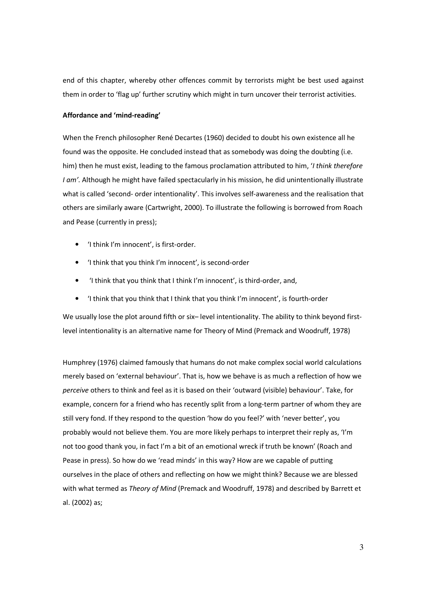end of this chapter, whereby other offences commit by terrorists might be best used against them in order to 'flag up' further scrutiny which might in turn uncover their terrorist activities.

# Affordance and 'mind-reading'

When the French philosopher René Decartes (1960) decided to doubt his own existence all he found was the opposite. He concluded instead that as somebody was doing the doubting (i.e. him) then he must exist, leading to the famous proclamation attributed to him, 'I think therefore I am'. Although he might have failed spectacularly in his mission, he did unintentionally illustrate what is called 'second- order intentionality'. This involves self-awareness and the realisation that others are similarly aware (Cartwright, 2000). To illustrate the following is borrowed from Roach and Pease (currently in press);

- 'I think I'm innocent', is first-order.
- 'I think that you think I'm innocent', is second-order
- 'I think that you think that I think I'm innocent', is third-order, and,
- 'I think that you think that I think that you think I'm innocent', is fourth-order

We usually lose the plot around fifth or six-level intentionality. The ability to think beyond firstlevel intentionality is an alternative name for Theory of Mind (Premack and Woodruff, 1978)

Humphrey (1976) claimed famously that humans do not make complex social world calculations merely based on 'external behaviour'. That is, how we behave is as much a reflection of how we perceive others to think and feel as it is based on their 'outward (visible) behaviour'. Take, for example, concern for a friend who has recently split from a long-term partner of whom they are still very fond. If they respond to the question 'how do you feel?' with 'never better', you probably would not believe them. You are more likely perhaps to interpret their reply as, 'I'm not too good thank you, in fact I'm a bit of an emotional wreck if truth be known' (Roach and Pease in press). So how do we 'read minds' in this way? How are we capable of putting ourselves in the place of others and reflecting on how we might think? Because we are blessed with what termed as Theory of Mind (Premack and Woodruff, 1978) and described by Barrett et al. (2002) as;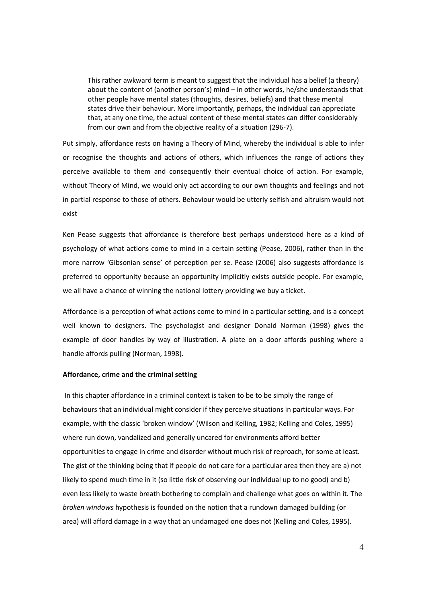This rather awkward term is meant to suggest that the individual has a belief (a theory) about the content of (another person's) mind – in other words, he/she understands that other people have mental states (thoughts, desires, beliefs) and that these mental states drive their behaviour. More importantly, perhaps, the individual can appreciate that, at any one time, the actual content of these mental states can differ considerably from our own and from the objective reality of a situation (296-7).

Put simply, affordance rests on having a Theory of Mind, whereby the individual is able to infer or recognise the thoughts and actions of others, which influences the range of actions they perceive available to them and consequently their eventual choice of action. For example, without Theory of Mind, we would only act according to our own thoughts and feelings and not in partial response to those of others. Behaviour would be utterly selfish and altruism would not exist

Ken Pease suggests that affordance is therefore best perhaps understood here as a kind of psychology of what actions come to mind in a certain setting (Pease, 2006), rather than in the more narrow 'Gibsonian sense' of perception per se. Pease (2006) also suggests affordance is preferred to opportunity because an opportunity implicitly exists outside people. For example, we all have a chance of winning the national lottery providing we buy a ticket.

Affordance is a perception of what actions come to mind in a particular setting, and is a concept well known to designers. The psychologist and designer Donald Norman (1998) gives the example of door handles by way of illustration. A plate on a door affords pushing where a handle affords pulling (Norman, 1998).

#### Affordance, crime and the criminal setting

 In this chapter affordance in a criminal context is taken to be to be simply the range of behaviours that an individual might consider if they perceive situations in particular ways. For example, with the classic 'broken window' (Wilson and Kelling, 1982; Kelling and Coles, 1995) where run down, vandalized and generally uncared for environments afford better opportunities to engage in crime and disorder without much risk of reproach, for some at least. The gist of the thinking being that if people do not care for a particular area then they are a) not likely to spend much time in it (so little risk of observing our individual up to no good) and b) even less likely to waste breath bothering to complain and challenge what goes on within it. The broken windows hypothesis is founded on the notion that a rundown damaged building (or area) will afford damage in a way that an undamaged one does not (Kelling and Coles, 1995).

4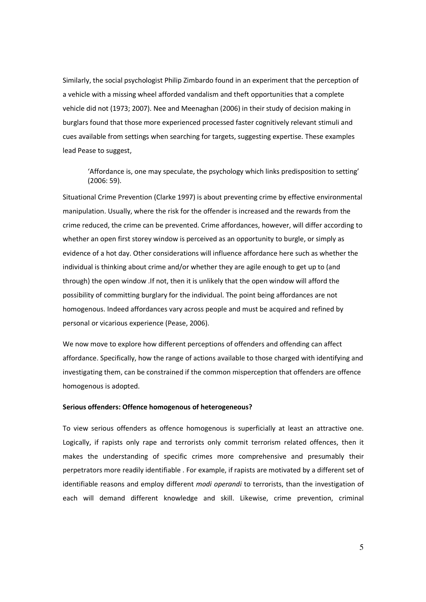Similarly, the social psychologist Philip Zimbardo found in an experiment that the perception of a vehicle with a missing wheel afforded vandalism and theft opportunities that a complete vehicle did not (1973; 2007). Nee and Meenaghan (2006) in their study of decision making in burglars found that those more experienced processed faster cognitively relevant stimuli and cues available from settings when searching for targets, suggesting expertise. These examples lead Pease to suggest,

'Affordance is, one may speculate, the psychology which links predisposition to setting' (2006: 59).

Situational Crime Prevention (Clarke 1997) is about preventing crime by effective environmental manipulation. Usually, where the risk for the offender is increased and the rewards from the crime reduced, the crime can be prevented. Crime affordances, however, will differ according to whether an open first storey window is perceived as an opportunity to burgle, or simply as evidence of a hot day. Other considerations will influence affordance here such as whether the individual is thinking about crime and/or whether they are agile enough to get up to (and through) the open window .If not, then it is unlikely that the open window will afford the possibility of committing burglary for the individual. The point being affordances are not homogenous. Indeed affordances vary across people and must be acquired and refined by personal or vicarious experience (Pease, 2006).

We now move to explore how different perceptions of offenders and offending can affect affordance. Specifically, how the range of actions available to those charged with identifying and investigating them, can be constrained if the common misperception that offenders are offence homogenous is adopted.

#### Serious offenders: Offence homogenous of heterogeneous?

To view serious offenders as offence homogenous is superficially at least an attractive one. Logically, if rapists only rape and terrorists only commit terrorism related offences, then it makes the understanding of specific crimes more comprehensive and presumably their perpetrators more readily identifiable . For example, if rapists are motivated by a different set of identifiable reasons and employ different modi operandi to terrorists, than the investigation of each will demand different knowledge and skill. Likewise, crime prevention, criminal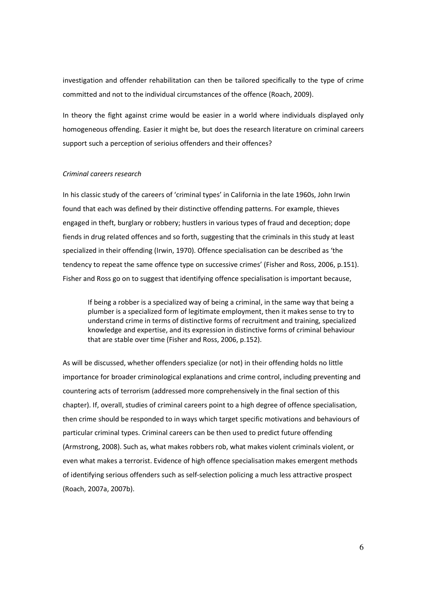investigation and offender rehabilitation can then be tailored specifically to the type of crime committed and not to the individual circumstances of the offence (Roach, 2009).

In theory the fight against crime would be easier in a world where individuals displayed only homogeneous offending. Easier it might be, but does the research literature on criminal careers support such a perception of serioius offenders and their offences?

# Criminal careers research

In his classic study of the careers of 'criminal types' in California in the late 1960s, John Irwin found that each was defined by their distinctive offending patterns. For example, thieves engaged in theft, burglary or robbery; hustlers in various types of fraud and deception; dope fiends in drug related offences and so forth, suggesting that the criminals in this study at least specialized in their offending (Irwin, 1970). Offence specialisation can be described as 'the tendency to repeat the same offence type on successive crimes' (Fisher and Ross, 2006, p.151). Fisher and Ross go on to suggest that identifying offence specialisation is important because,

If being a robber is a specialized way of being a criminal, in the same way that being a plumber is a specialized form of legitimate employment, then it makes sense to try to understand crime in terms of distinctive forms of recruitment and training, specialized knowledge and expertise, and its expression in distinctive forms of criminal behaviour that are stable over time (Fisher and Ross, 2006, p.152).

As will be discussed, whether offenders specialize (or not) in their offending holds no little importance for broader criminological explanations and crime control, including preventing and countering acts of terrorism (addressed more comprehensively in the final section of this chapter). If, overall, studies of criminal careers point to a high degree of offence specialisation, then crime should be responded to in ways which target specific motivations and behaviours of particular criminal types. Criminal careers can be then used to predict future offending (Armstrong, 2008). Such as, what makes robbers rob, what makes violent criminals violent, or even what makes a terrorist. Evidence of high offence specialisation makes emergent methods of identifying serious offenders such as self-selection policing a much less attractive prospect (Roach, 2007a, 2007b).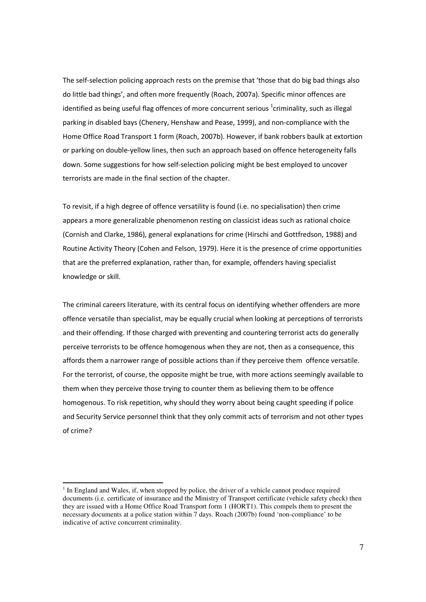The self-selection policing approach rests on the premise that 'those that do big bad things also do little bad things', and often more frequently (Roach, 2007a). Specific minor offences are identified as being useful flag offences of more concurrent serious  $^1$ criminality, such as illegal parking in disabled bays (Chenery, Henshaw and Pease, 1999), and non-compliance with the Home Office Road Transport 1 form (Roach, 2007b). However, if bank robbers baulk at extortion or parking on double-yellow lines, then such an approach based on offence heterogeneity falls down. Some suggestions for how self-selection policing might be best employed to uncover terrorists are made in the final section of the chapter.

To revisit, if a high degree of offence versatility is found (i.e. no specialisation) then crime appears a more generalizable phenomenon resting on classicist ideas such as rational choice (Cornish and Clarke, 1986), general explanations for crime (Hirschi and Gottfredson, 1988) and Routine Activity Theory (Cohen and Felson, 1979). Here it is the presence of crime opportunities that are the preferred explanation, rather than, for example, offenders having specialist knowledge or skill.

The criminal careers literature, with its central focus on identifying whether offenders are more offence versatile than specialist, may be equally crucial when looking at perceptions of terrorists and their offending. If those charged with preventing and countering terrorist acts do generally perceive terrorists to be offence homogenous when they are not, then as a consequence, this affords them a narrower range of possible actions than if they perceive them offence versatile. For the terrorist, of course, the opposite might be true, with more actions seemingly available to them when they perceive those trying to counter them as believing them to be offence homogenous. To risk repetition, why should they worry about being caught speeding if police and Security Service personnel think that they only commit acts of terrorism and not other types of crime?

<u>.</u>

 $<sup>1</sup>$  In England and Wales, if, when stopped by police, the driver of a vehicle cannot produce required</sup> documents (i.e. certificate of insurance and the Ministry of Transport certificate (vehicle safety check) then they are issued with a Home Office Road Transport form 1 (HORT1). This compels them to present the necessary documents at a police station within 7 days. Roach (2007b) found 'non-compliance' to be indicative of active concurrent criminality.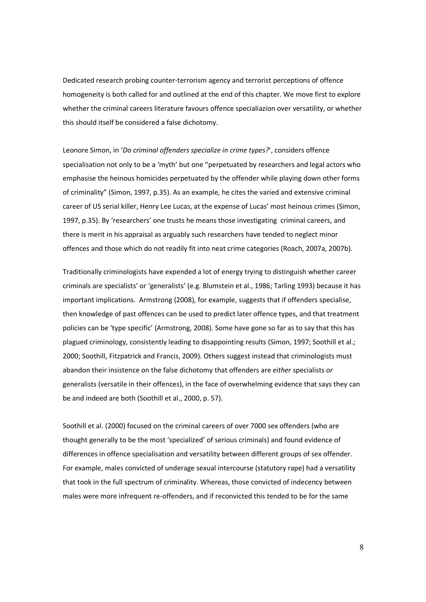Dedicated research probing counter-terrorism agency and terrorist perceptions of offence homogeneity is both called for and outlined at the end of this chapter. We move first to explore whether the criminal careers literature favours offence specialiazion over versatility, or whether this should itself be considered a false dichotomy.

Leonore Simon, in 'Do criminal offenders specialize in crime types?', considers offence specialisation not only to be a 'myth' but one "perpetuated by researchers and legal actors who emphasise the heinous homicides perpetuated by the offender while playing down other forms of criminality" (Simon, 1997, p.35). As an example, he cites the varied and extensive criminal career of US serial killer, Henry Lee Lucas, at the expense of Lucas' most heinous crimes (Simon, 1997, p.35). By 'researchers' one trusts he means those investigating criminal careers, and there is merit in his appraisal as arguably such researchers have tended to neglect minor offences and those which do not readily fit into neat crime categories (Roach, 2007a, 2007b).

Traditionally criminologists have expended a lot of energy trying to distinguish whether career criminals are specialists' or 'generalists' (e.g. Blumstein et al., 1986; Tarling 1993) because it has important implications. Armstrong (2008), for example, suggests that if offenders specialise, then knowledge of past offences can be used to predict later offence types, and that treatment policies can be 'type specific' (Armstrong, 2008). Some have gone so far as to say that this has plagued criminology, consistently leading to disappointing results (Simon, 1997; Soothill et al.; 2000; Soothill, Fitzpatrick and Francis, 2009). Others suggest instead that criminologists must abandon their insistence on the false dichotomy that offenders are either specialists or generalists (versatile in their offences), in the face of overwhelming evidence that says they can be and indeed are both (Soothill et al., 2000, p. 57).

Soothill et al. (2000) focused on the criminal careers of over 7000 sex offenders (who are thought generally to be the most 'specialized' of serious criminals) and found evidence of differences in offence specialisation and versatility between different groups of sex offender. For example, males convicted of underage sexual intercourse (statutory rape) had a versatility that took in the full spectrum of criminality. Whereas, those convicted of indecency between males were more infrequent re-offenders, and if reconvicted this tended to be for the same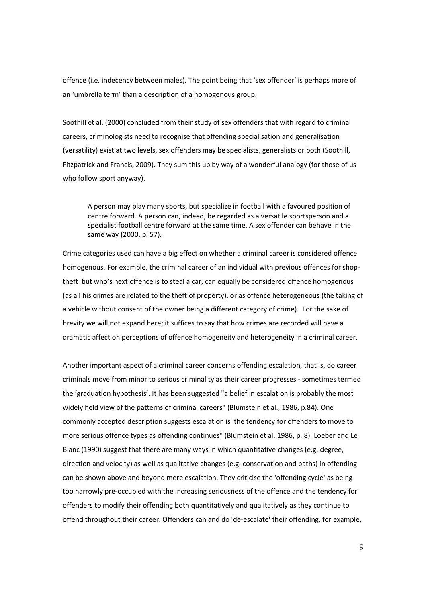offence (i.e. indecency between males). The point being that 'sex offender' is perhaps more of an 'umbrella term' than a description of a homogenous group.

Soothill et al. (2000) concluded from their study of sex offenders that with regard to criminal careers, criminologists need to recognise that offending specialisation and generalisation (versatility) exist at two levels, sex offenders may be specialists, generalists or both (Soothill, Fitzpatrick and Francis, 2009). They sum this up by way of a wonderful analogy (for those of us who follow sport anyway).

A person may play many sports, but specialize in football with a favoured position of centre forward. A person can, indeed, be regarded as a versatile sportsperson and a specialist football centre forward at the same time. A sex offender can behave in the same way (2000, p. 57).

Crime categories used can have a big effect on whether a criminal career is considered offence homogenous. For example, the criminal career of an individual with previous offences for shoptheft but who's next offence is to steal a car, can equally be considered offence homogenous (as all his crimes are related to the theft of property), or as offence heterogeneous (the taking of a vehicle without consent of the owner being a different category of crime). For the sake of brevity we will not expand here; it suffices to say that how crimes are recorded will have a dramatic affect on perceptions of offence homogeneity and heterogeneity in a criminal career.

Another important aspect of a criminal career concerns offending escalation, that is, do career criminals move from minor to serious criminality as their career progresses - sometimes termed the 'graduation hypothesis'. It has been suggested "a belief in escalation is probably the most widely held view of the patterns of criminal careers" (Blumstein et al., 1986, p.84). One commonly accepted description suggests escalation is the tendency for offenders to move to more serious offence types as offending continues" (Blumstein et al. 1986, p. 8). Loeber and Le Blanc (1990) suggest that there are many ways in which quantitative changes (e.g. degree, direction and velocity) as well as qualitative changes (e.g. conservation and paths) in offending can be shown above and beyond mere escalation. They criticise the 'offending cycle' as being too narrowly pre-occupied with the increasing seriousness of the offence and the tendency for offenders to modify their offending both quantitatively and qualitatively as they continue to offend throughout their career. Offenders can and do 'de-escalate' their offending, for example,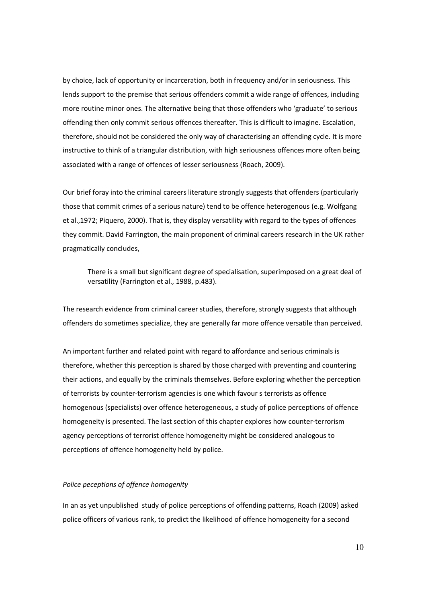by choice, lack of opportunity or incarceration, both in frequency and/or in seriousness. This lends support to the premise that serious offenders commit a wide range of offences, including more routine minor ones. The alternative being that those offenders who 'graduate' to serious offending then only commit serious offences thereafter. This is difficult to imagine. Escalation, therefore, should not be considered the only way of characterising an offending cycle. It is more instructive to think of a triangular distribution, with high seriousness offences more often being associated with a range of offences of lesser seriousness (Roach, 2009).

Our brief foray into the criminal careers literature strongly suggests that offenders (particularly those that commit crimes of a serious nature) tend to be offence heterogenous (e.g. Wolfgang et al.,1972; Piquero, 2000). That is, they display versatility with regard to the types of offences they commit. David Farrington, the main proponent of criminal careers research in the UK rather pragmatically concludes,

There is a small but significant degree of specialisation, superimposed on a great deal of versatility (Farrington et al., 1988, p.483).

The research evidence from criminal career studies, therefore, strongly suggests that although offenders do sometimes specialize, they are generally far more offence versatile than perceived.

An important further and related point with regard to affordance and serious criminals is therefore, whether this perception is shared by those charged with preventing and countering their actions, and equally by the criminals themselves. Before exploring whether the perception of terrorists by counter-terrorism agencies is one which favour s terrorists as offence homogenous (specialists) over offence heterogeneous, a study of police perceptions of offence homogeneity is presented. The last section of this chapter explores how counter-terrorism agency perceptions of terrorist offence homogeneity might be considered analogous to perceptions of offence homogeneity held by police.

#### Police peceptions of offence homogenity

In an as yet unpublished study of police perceptions of offending patterns, Roach (2009) asked police officers of various rank, to predict the likelihood of offence homogeneity for a second

10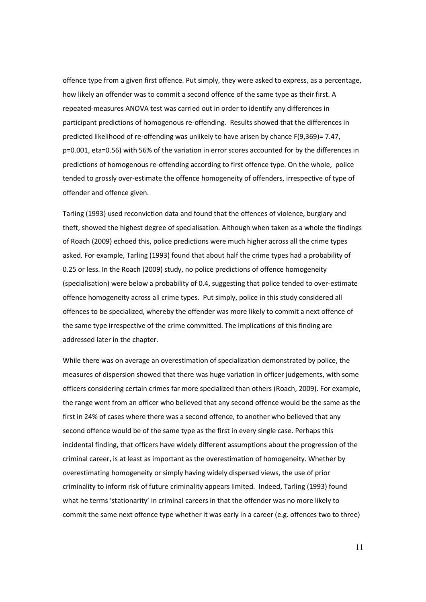offence type from a given first offence. Put simply, they were asked to express, as a percentage, how likely an offender was to commit a second offence of the same type as their first. A repeated-measures ANOVA test was carried out in order to identify any differences in participant predictions of homogenous re-offending. Results showed that the differences in predicted likelihood of re-offending was unlikely to have arisen by chance F(9,369)= 7.47, p=0.001, eta=0.56) with 56% of the variation in error scores accounted for by the differences in predictions of homogenous re-offending according to first offence type. On the whole, police tended to grossly over-estimate the offence homogeneity of offenders, irrespective of type of offender and offence given.

Tarling (1993) used reconviction data and found that the offences of violence, burglary and theft, showed the highest degree of specialisation. Although when taken as a whole the findings of Roach (2009) echoed this, police predictions were much higher across all the crime types asked. For example, Tarling (1993) found that about half the crime types had a probability of 0.25 or less. In the Roach (2009) study, no police predictions of offence homogeneity (specialisation) were below a probability of 0.4, suggesting that police tended to over-estimate offence homogeneity across all crime types. Put simply, police in this study considered all offences to be specialized, whereby the offender was more likely to commit a next offence of the same type irrespective of the crime committed. The implications of this finding are addressed later in the chapter.

While there was on average an overestimation of specialization demonstrated by police, the measures of dispersion showed that there was huge variation in officer judgements, with some officers considering certain crimes far more specialized than others (Roach, 2009). For example, the range went from an officer who believed that any second offence would be the same as the first in 24% of cases where there was a second offence, to another who believed that any second offence would be of the same type as the first in every single case. Perhaps this incidental finding, that officers have widely different assumptions about the progression of the criminal career, is at least as important as the overestimation of homogeneity. Whether by overestimating homogeneity or simply having widely dispersed views, the use of prior criminality to inform risk of future criminality appears limited. Indeed, Tarling (1993) found what he terms 'stationarity' in criminal careers in that the offender was no more likely to commit the same next offence type whether it was early in a career (e.g. offences two to three)

11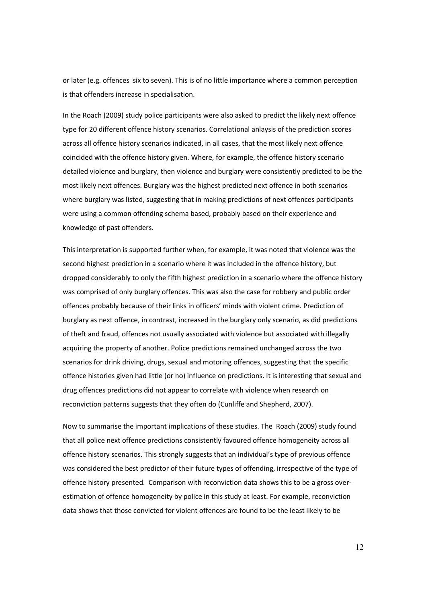or later (e.g. offences six to seven). This is of no little importance where a common perception is that offenders increase in specialisation.

In the Roach (2009) study police participants were also asked to predict the likely next offence type for 20 different offence history scenarios. Correlational anlaysis of the prediction scores across all offence history scenarios indicated, in all cases, that the most likely next offence coincided with the offence history given. Where, for example, the offence history scenario detailed violence and burglary, then violence and burglary were consistently predicted to be the most likely next offences. Burglary was the highest predicted next offence in both scenarios where burglary was listed, suggesting that in making predictions of next offences participants were using a common offending schema based, probably based on their experience and knowledge of past offenders.

This interpretation is supported further when, for example, it was noted that violence was the second highest prediction in a scenario where it was included in the offence history, but dropped considerably to only the fifth highest prediction in a scenario where the offence history was comprised of only burglary offences. This was also the case for robbery and public order offences probably because of their links in officers' minds with violent crime. Prediction of burglary as next offence, in contrast, increased in the burglary only scenario, as did predictions of theft and fraud, offences not usually associated with violence but associated with illegally acquiring the property of another. Police predictions remained unchanged across the two scenarios for drink driving, drugs, sexual and motoring offences, suggesting that the specific offence histories given had little (or no) influence on predictions. It is interesting that sexual and drug offences predictions did not appear to correlate with violence when research on reconviction patterns suggests that they often do (Cunliffe and Shepherd, 2007).

Now to summarise the important implications of these studies. The Roach (2009) study found that all police next offence predictions consistently favoured offence homogeneity across all offence history scenarios. This strongly suggests that an individual's type of previous offence was considered the best predictor of their future types of offending, irrespective of the type of offence history presented. Comparison with reconviction data shows this to be a gross overestimation of offence homogeneity by police in this study at least. For example, reconviction data shows that those convicted for violent offences are found to be the least likely to be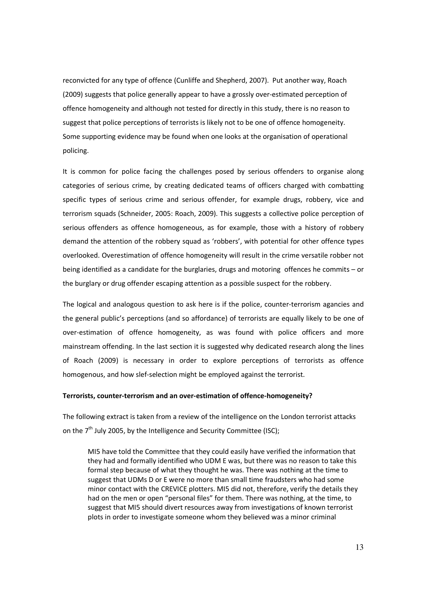reconvicted for any type of offence (Cunliffe and Shepherd, 2007). Put another way, Roach (2009) suggests that police generally appear to have a grossly over-estimated perception of offence homogeneity and although not tested for directly in this study, there is no reason to suggest that police perceptions of terrorists is likely not to be one of offence homogeneity. Some supporting evidence may be found when one looks at the organisation of operational policing.

It is common for police facing the challenges posed by serious offenders to organise along categories of serious crime, by creating dedicated teams of officers charged with combatting specific types of serious crime and serious offender, for example drugs, robbery, vice and terrorism squads (Schneider, 2005: Roach, 2009). This suggests a collective police perception of serious offenders as offence homogeneous, as for example, those with a history of robbery demand the attention of the robbery squad as 'robbers', with potential for other offence types overlooked. Overestimation of offence homogeneity will result in the crime versatile robber not being identified as a candidate for the burglaries, drugs and motoring offences he commits – or the burglary or drug offender escaping attention as a possible suspect for the robbery.

The logical and analogous question to ask here is if the police, counter-terrorism agancies and the general public's perceptions (and so affordance) of terrorists are equally likely to be one of over-estimation of offence homogeneity, as was found with police officers and more mainstream offending. In the last section it is suggested why dedicated research along the lines of Roach (2009) is necessary in order to explore perceptions of terrorists as offence homogenous, and how slef-selection might be employed against the terrorist.

# Terrorists, counter-terrorism and an over-estimation of offence-homogeneity?

The following extract is taken from a review of the intelligence on the London terrorist attacks on the 7<sup>th</sup> July 2005, by the Intelligence and Security Committee (ISC);

MI5 have told the Committee that they could easily have verified the information that they had and formally identified who UDM E was, but there was no reason to take this formal step because of what they thought he was. There was nothing at the time to suggest that UDMs D or E were no more than small time fraudsters who had some minor contact with the CREVICE plotters. MI5 did not, therefore, verify the details they had on the men or open "personal files" for them. There was nothing, at the time, to suggest that MI5 should divert resources away from investigations of known terrorist plots in order to investigate someone whom they believed was a minor criminal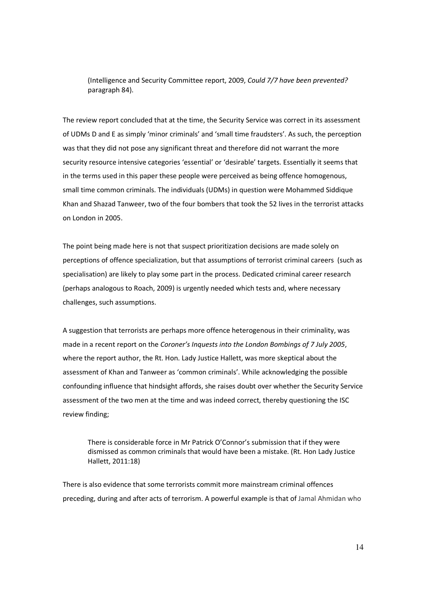(Intelligence and Security Committee report, 2009, Could 7/7 have been prevented? paragraph 84).

The review report concluded that at the time, the Security Service was correct in its assessment of UDMs D and E as simply 'minor criminals' and 'small time fraudsters'. As such, the perception was that they did not pose any significant threat and therefore did not warrant the more security resource intensive categories 'essential' or 'desirable' targets. Essentially it seems that in the terms used in this paper these people were perceived as being offence homogenous, small time common criminals. The individuals (UDMs) in question were Mohammed Siddique Khan and Shazad Tanweer, two of the four bombers that took the 52 lives in the terrorist attacks on London in 2005.

The point being made here is not that suspect prioritization decisions are made solely on perceptions of offence specialization, but that assumptions of terrorist criminal careers (such as specialisation) are likely to play some part in the process. Dedicated criminal career research (perhaps analogous to Roach, 2009) is urgently needed which tests and, where necessary challenges, such assumptions.

A suggestion that terrorists are perhaps more offence heterogenous in their criminality, was made in a recent report on the Coroner's Inquests into the London Bombings of 7 July 2005, where the report author, the Rt. Hon. Lady Justice Hallett, was more skeptical about the assessment of Khan and Tanweer as 'common criminals'. While acknowledging the possible confounding influence that hindsight affords, she raises doubt over whether the Security Service assessment of the two men at the time and was indeed correct, thereby questioning the ISC review finding;

There is considerable force in Mr Patrick O'Connor's submission that if they were dismissed as common criminals that would have been a mistake. (Rt. Hon Lady Justice Hallett, 2011:18)

There is also evidence that some terrorists commit more mainstream criminal offences preceding, during and after acts of terrorism. A powerful example is that of Jamal Ahmidan who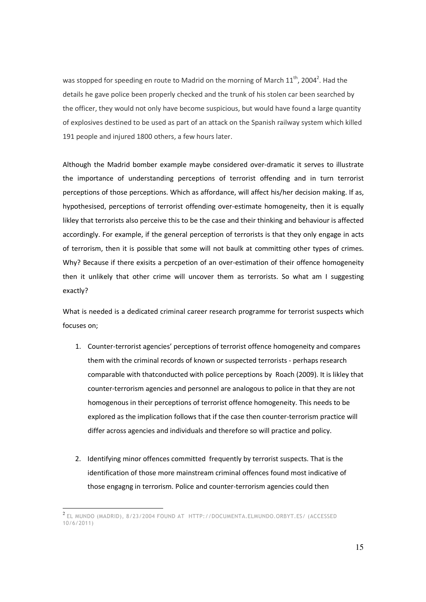was stopped for speeding en route to Madrid on the morning of March  $11<sup>th</sup>$ , 2004<sup>2</sup>. Had the details he gave police been properly checked and the trunk of his stolen car been searched by the officer, they would not only have become suspicious, but would have found a large quantity of explosives destined to be used as part of an attack on the Spanish railway system which killed 191 people and injured 1800 others, a few hours later.

Although the Madrid bomber example maybe considered over-dramatic it serves to illustrate the importance of understanding perceptions of terrorist offending and in turn terrorist perceptions of those perceptions. Which as affordance, will affect his/her decision making. If as, hypothesised, perceptions of terrorist offending over-estimate homogeneity, then it is equally likley that terrorists also perceive this to be the case and their thinking and behaviour is affected accordingly. For example, if the general perception of terrorists is that they only engage in acts of terrorism, then it is possible that some will not baulk at committing other types of crimes. Why? Because if there exisits a percpetion of an over-estimation of their offence homogeneity then it unlikely that other crime will uncover them as terrorists. So what am I suggesting exactly?

What is needed is a dedicated criminal career research programme for terrorist suspects which focuses on;

- 1. Counter-terrorist agencies' perceptions of terrorist offence homogeneity and compares them with the criminal records of known or suspected terrorists - perhaps research comparable with thatconducted with police perceptions by Roach (2009). It is likley that counter-terrorism agencies and personnel are analogous to police in that they are not homogenous in their perceptions of terrorist offence homogeneity. This needs to be explored as the implication follows that if the case then counter-terrorism practice will differ across agencies and individuals and therefore so will practice and policy.
- 2. Identifying minor offences committed frequently by terrorist suspects. That is the identification of those more mainstream criminal offences found most indicative of those engagng in terrorism. Police and counter-terrorism agencies could then

.<br>-

<sup>2</sup> EL MUNDO (MADRID), 8/23/2004 FOUND AT HTTP://DOCUMENTA.ELMUNDO.ORBYT.ES/ (ACCESSED 10/6/2011)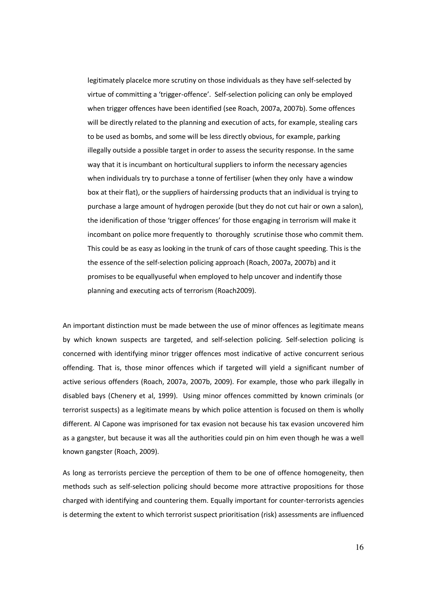legitimately placelce more scrutiny on those individuals as they have self-selected by virtue of committing a 'trigger-offence'. Self-selection policing can only be employed when trigger offences have been identified (see Roach, 2007a, 2007b). Some offences will be directly related to the planning and execution of acts, for example, stealing cars to be used as bombs, and some will be less directly obvious, for example, parking illegally outside a possible target in order to assess the security response. In the same way that it is incumbant on horticultural suppliers to inform the necessary agencies when individuals try to purchase a tonne of fertiliser (when they only have a window box at their flat), or the suppliers of hairderssing products that an individual is trying to purchase a large amount of hydrogen peroxide (but they do not cut hair or own a salon), the idenification of those 'trigger offences' for those engaging in terrorism will make it incombant on police more frequently to thoroughly scrutinise those who commit them. This could be as easy as looking in the trunk of cars of those caught speeding. This is the the essence of the self-selection policing approach (Roach, 2007a, 2007b) and it promises to be equallyuseful when employed to help uncover and indentify those planning and executing acts of terrorism (Roach2009).

An important distinction must be made between the use of minor offences as legitimate means by which known suspects are targeted, and self-selection policing. Self-selection policing is concerned with identifying minor trigger offences most indicative of active concurrent serious offending. That is, those minor offences which if targeted will yield a significant number of active serious offenders (Roach, 2007a, 2007b, 2009). For example, those who park illegally in disabled bays (Chenery et al, 1999). Using minor offences committed by known criminals (or terrorist suspects) as a legitimate means by which police attention is focused on them is wholly different. Al Capone was imprisoned for tax evasion not because his tax evasion uncovered him as a gangster, but because it was all the authorities could pin on him even though he was a well known gangster (Roach, 2009).

As long as terrorists percieve the perception of them to be one of offence homogeneity, then methods such as self-selection policing should become more attractive propositions for those charged with identifying and countering them. Equally important for counter-terrorists agencies is determing the extent to which terrorist suspect prioritisation (risk) assessments are influenced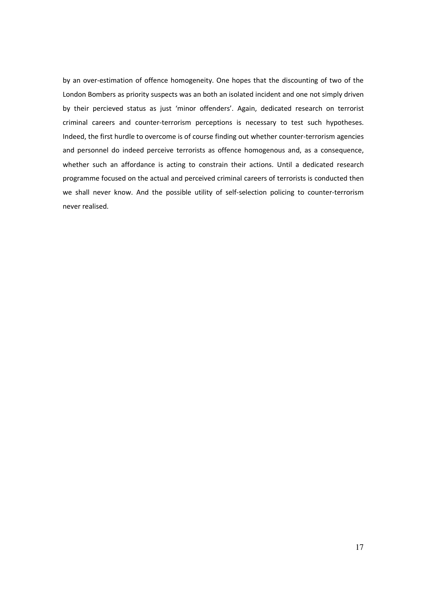by an over-estimation of offence homogeneity. One hopes that the discounting of two of the London Bombers as priority suspects was an both an isolated incident and one not simply driven by their percieved status as just 'minor offenders'. Again, dedicated research on terrorist criminal careers and counter-terrorism perceptions is necessary to test such hypotheses. Indeed, the first hurdle to overcome is of course finding out whether counter-terrorism agencies and personnel do indeed perceive terrorists as offence homogenous and, as a consequence, whether such an affordance is acting to constrain their actions. Until a dedicated research programme focused on the actual and perceived criminal careers of terrorists is conducted then we shall never know. And the possible utility of self-selection policing to counter-terrorism never realised.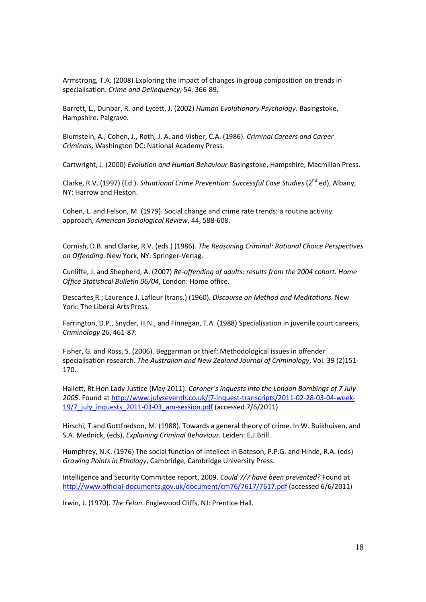Armstrong, T.A. (2008) Exploring the impact of changes in group composition on trends in specialisation. Crime and Delinquency, 54, 366-89.

Barrett, L., Dunbar, R. and Lycett, J. (2002) Human Evolutionary Psychology. Basingstoke, Hampshire. Palgrave.

Blumstein, A., Cohen, J., Roth, J. A. and Visher, C.A. (1986). Criminal Careers and Career Criminals, Washington DC: National Academy Press.

Cartwright, J. (2000) Evolution and Human Behaviour Basingstoke, Hampshire, Macmillan Press.

Clarke, R.V. (1997) (Ed.). Situational Crime Prevention: Successful Case Studies ( $2<sup>nd</sup>$  ed), Albany, NY: Harrow and Heston.

Cohen, L. and Felson, M. (1979). Social change and crime rate trends: a routine activity approach, American Sociological Review, 44, 588-608.

Cornish, D.B. and Clarke, R.V. (eds.) (1986). The Reasoning Criminal: Rational Choice Perspectives on Offending. New York, NY: Springer-Verlag.

Cunliffe, J. and Shepherd, A. (2007) Re-offending of adults: results from the 2004 cohort. Home Office Statistical Bulletin 06/04, London: Home office.

Descartes R.; Laurence J. Lafleur (trans.) (1960). Discourse on Method and Meditations. New York: The Liberal Arts Press.

Farrington, D.P., Snyder, H.N., and Finnegan, T.A. (1988) Specialisation in juvenile court careers, Criminology 26, 461-87.

Fisher, G. and Ross, S. (2006). Beggarman or thief: Methodological issues in offender specialisation research. The Australian and New Zealand Journal of Criminology, Vol. 39 (2)151- 170.

Hallett, Rt.Hon Lady Justice (May 2011). Coroner's Inquests into the London Bombings of 7 July 2005. Found at http://www.julyseventh.co.uk/j7-inquest-transcripts/2011-02-28-03-04-week-19/7\_july\_inquests\_2011-03-03\_am-session.pdf (accessed 7/6/2011)

Hirschi, T.and Gottfredson, M. (1988). Towards a general theory of crime. In W. Buikhuisen, and S.A. Mednick, (eds), Explaining Criminal Behaviour. Leiden: E.J.Brill.

Humphrey, N.K. (1976) The social function of intellect in Bateson, P.P.G. and Hinde, R.A. (eds) Growing Points in Ethology, Cambridge, Cambridge University Press.

Intelligence and Security Committee report, 2009. Could 7/7 have been prevented? Found at http://www.official-documents.gov.uk/document/cm76/7617/7617.pdf (accessed 6/6/2011)

Irwin, J. (1970). The Felon. Englewood Cliffs, NJ: Prentice Hall.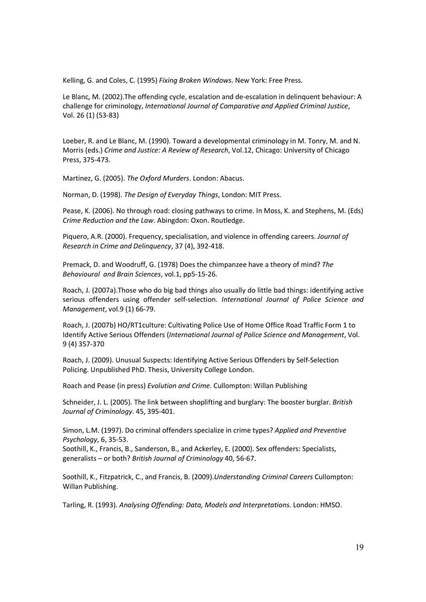Kelling, G. and Coles, C. (1995) Fixing Broken Windows. New York: Free Press.

Le Blanc, M. (2002).The offending cycle, escalation and de-escalation in delinquent behaviour: A challenge for criminology, International Journal of Comparative and Applied Criminal Justice, Vol. 26 (1) (53-83)

Loeber, R. and Le Blanc, M. (1990). Toward a developmental criminology in M. Tonry, M. and N. Morris (eds.) Crime and Justice: A Review of Research, Vol.12, Chicago: University of Chicago Press, 375-473.

Martinez, G. (2005). The Oxford Murders. London: Abacus.

Norman, D. (1998). The Design of Everyday Things, London: MIT Press.

Pease, K. (2006). No through road: closing pathways to crime. In Moss, K. and Stephens, M. (Eds) Crime Reduction and the Law. Abingdon: Oxon. Routledge.

Piquero, A.R. (2000). Frequency, specialisation, and violence in offending careers. Journal of Research in Crime and Delinquency, 37 (4), 392-418.

Premack, D. and Woodruff, G. (1978) Does the chimpanzee have a theory of mind? The Behavioural and Brain Sciences, vol.1, pp5-15-26.

Roach, J. (2007a).Those who do big bad things also usually do little bad things: identifying active serious offenders using offender self-selection. International Journal of Police Science and Management, vol.9 (1) 66-79.

Roach, J. (2007b) HO/RT1culture: Cultivating Police Use of Home Office Road Traffic Form 1 to Identify Active Serious Offenders (International Journal of Police Science and Management, Vol. 9 (4) 357-370

Roach, J. (2009). Unusual Suspects: Identifying Active Serious Offenders by Self-Selection Policing. Unpublished PhD. Thesis, University College London.

Roach and Pease (in press) Evolution and Crime. Cullompton: Willan Publishing

Schneider, J. L. (2005). The link between shoplifting and burglary: The booster burglar. British Journal of Criminology. 45, 395-401.

Simon, L.M. (1997). Do criminal offenders specialize in crime types? Applied and Preventive Psychology, 6, 35-53.

Soothill, K., Francis, B., Sanderson, B., and Ackerley, E. (2000). Sex offenders: Specialists, generalists – or both? British Journal of Criminology 40, 56-67.

Soothill, K., Fitzpatrick, C., and Francis, B. (2009).Understanding Criminal Careers Cullompton: Willan Publishing.

Tarling, R. (1993). Analysing Offending: Data, Models and Interpretations. London: HMSO.